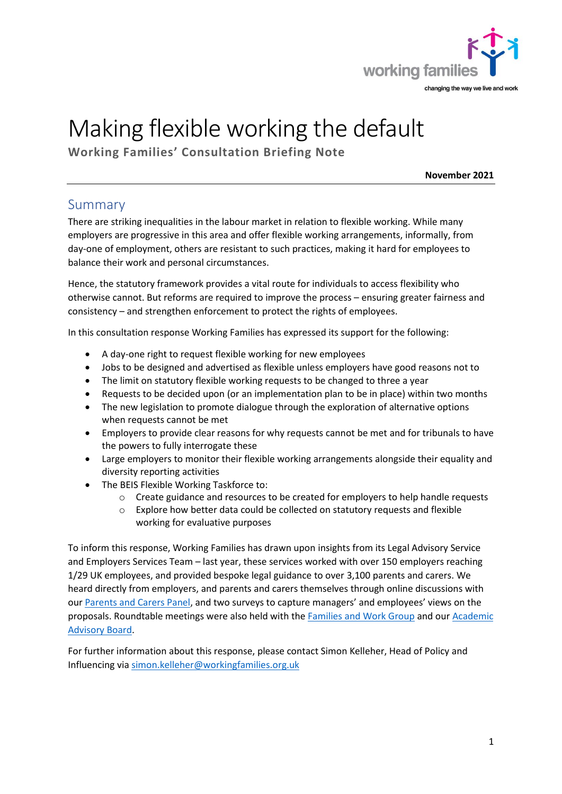

# Making flexible working the default

**Working Families' Consultation Briefing Note**

**November 2021**

## Summary

There are striking inequalities in the labour market in relation to flexible working. While many employers are progressive in this area and offer flexible working arrangements, informally, from day-one of employment, others are resistant to such practices, making it hard for employees to balance their work and personal circumstances.

Hence, the statutory framework provides a vital route for individuals to access flexibility who otherwise cannot. But reforms are required to improve the process – ensuring greater fairness and consistency – and strengthen enforcement to protect the rights of employees.

In this consultation response Working Families has expressed its support for the following:

- A day-one right to request flexible working for new employees
- Jobs to be designed and advertised as flexible unless employers have good reasons not to
- The limit on statutory flexible working requests to be changed to three a year
- Requests to be decided upon (or an implementation plan to be in place) within two months
- The new legislation to promote dialogue through the exploration of alternative options when requests cannot be met
- Employers to provide clear reasons for why requests cannot be met and for tribunals to have the powers to fully interrogate these
- Large employers to monitor their flexible working arrangements alongside their equality and diversity reporting activities
- The BEIS Flexible Working Taskforce to:
	- $\circ$  Create guidance and resources to be created for employers to help handle requests
	- o Explore how better data could be collected on statutory requests and flexible working for evaluative purposes

To inform this response, Working Families has drawn upon insights from its Legal Advisory Service and Employers Services Team – last year, these services worked with over 150 employers reaching 1/29 UK employees, and provided bespoke legal guidance to over 3,100 parents and carers. We heard directly from employers, and parents and carers themselves through online discussions with our [Parents and Carers Panel,](https://workingfamilies.org.uk/about-us/parents-and-carers-advisory-panel/) and two surveys to capture managers' and employees' views on the proposals. Roundtable meetings were also held with the [Families and Work Group](https://workingfamilies.org.uk/about-us/families-and-work-group/) and our [Academic](https://workingfamilies.org.uk/about-us/academic-advisory-board/)  [Advisory Board.](https://workingfamilies.org.uk/about-us/academic-advisory-board/)

For further information about this response, please contact Simon Kelleher, Head of Policy and Influencing via [simon.kelleher@workingfamilies.org.uk](mailto:simon.kelleher@workingfamilies.org.uk)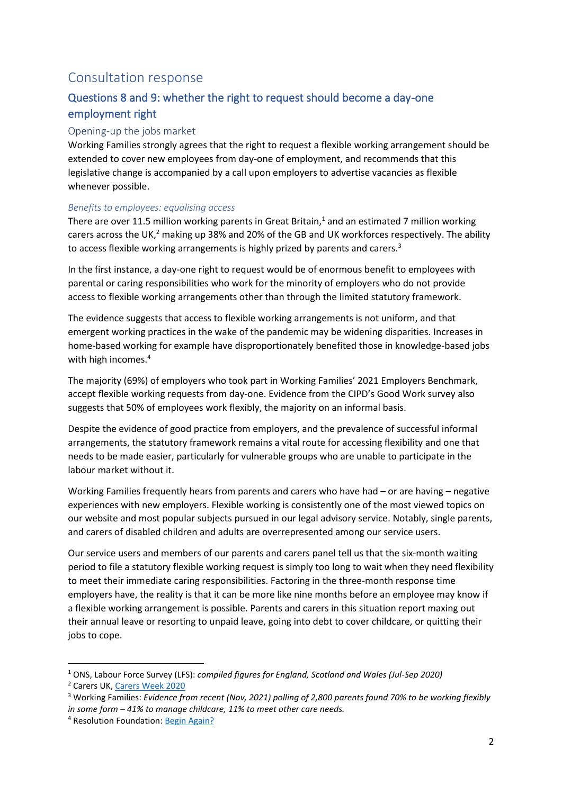## Consultation response

## Questions 8 and 9: whether the right to request should become a day-one employment right

#### Opening-up the jobs market

Working Families strongly agrees that the right to request a flexible working arrangement should be extended to cover new employees from day-one of employment, and recommends that this legislative change is accompanied by a call upon employers to advertise vacancies as flexible whenever possible.

#### *Benefits to employees: equalising access*

There are over 11.5 million working parents in Great Britain, $1$  and an estimated 7 million working carers across the UK, $^2$  making up 38% and 20% of the GB and UK workforces respectively. The ability to access flexible working arrangements is highly prized by parents and carers.<sup>3</sup>

In the first instance, a day-one right to request would be of enormous benefit to employees with parental or caring responsibilities who work for the minority of employers who do not provide access to flexible working arrangements other than through the limited statutory framework.

The evidence suggests that access to flexible working arrangements is not uniform, and that emergent working practices in the wake of the pandemic may be widening disparities. Increases in home-based working for example have disproportionately benefited those in knowledge-based jobs with high incomes. 4

The majority (69%) of employers who took part in Working Families' 2021 Employers Benchmark, accept flexible working requests from day-one. Evidence from the CIPD's Good Work survey also suggests that 50% of employees work flexibly, the majority on an informal basis.

Despite the evidence of good practice from employers, and the prevalence of successful informal arrangements, the statutory framework remains a vital route for accessing flexibility and one that needs to be made easier, particularly for vulnerable groups who are unable to participate in the labour market without it.

Working Families frequently hears from parents and carers who have had – or are having – negative experiences with new employers. Flexible working is consistently one of the most viewed topics on our website and most popular subjects pursued in our legal advisory service. Notably, single parents, and carers of disabled children and adults are overrepresented among our service users.

Our service users and members of our parents and carers panel tell us that the six-month waiting period to file a statutory flexible working request is simply too long to wait when they need flexibility to meet their immediate caring responsibilities. Factoring in the three-month response time employers have, the reality is that it can be more like nine months before an employee may know if a flexible working arrangement is possible. Parents and carers in this situation report maxing out their annual leave or resorting to unpaid leave, going into debt to cover childcare, or quitting their jobs to cope.

<sup>1</sup> ONS, Labour Force Survey (LFS): *compiled figures for England, Scotland and Wales (Jul-Sep 2020)*

<sup>2</sup> Carers UK, [Carers Week 2020](https://www.carersuk.org/images/CarersWeek2020/CW_2020_Research_Report_WEB.pdf)

<sup>3</sup> Working Families: *Evidence from recent (Nov, 2021) polling of 2,800 parents found 70% to be working flexibly in some form – 41% to manage childcare, 11% to meet other care needs.*

<sup>4</sup> Resolution Foundation[: Begin Again?](https://economy2030.resolutionfoundation.org/wp-content/uploads/2021/11/Begin-again.pdf)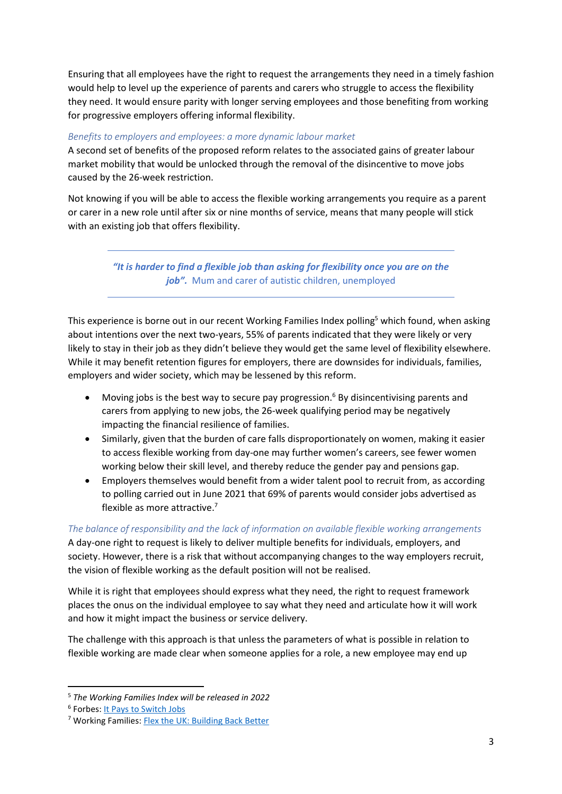Ensuring that all employees have the right to request the arrangements they need in a timely fashion would help to level up the experience of parents and carers who struggle to access the flexibility they need. It would ensure parity with longer serving employees and those benefiting from working for progressive employers offering informal flexibility.

#### *Benefits to employers and employees: a more dynamic labour market*

A second set of benefits of the proposed reform relates to the associated gains of greater labour market mobility that would be unlocked through the removal of the disincentive to move jobs caused by the 26-week restriction.

Not knowing if you will be able to access the flexible working arrangements you require as a parent or carer in a new role until after six or nine months of service, means that many people will stick with an existing job that offers flexibility.

> *"It is harder to find a flexible job than asking for flexibility once you are on the job".* Mum and carer of autistic children, unemployed

This experience is borne out in our recent Working Families Index polling<sup>5</sup> which found, when asking about intentions over the next two-years, 55% of parents indicated that they were likely or very likely to stay in their job as they didn't believe they would get the same level of flexibility elsewhere. While it may benefit retention figures for employers, there are downsides for individuals, families, employers and wider society, which may be lessened by this reform.

- Moving jobs is the best way to secure pay progression.<sup>6</sup> By disincentivising parents and carers from applying to new jobs, the 26-week qualifying period may be negatively impacting the financial resilience of families.
- Similarly, given that the burden of care falls disproportionately on women, making it easier to access flexible working from day-one may further women's careers, see fewer women working below their skill level, and thereby reduce the gender pay and pensions gap.
- Employers themselves would benefit from a wider talent pool to recruit from, as according to polling carried out in June 2021 that 69% of parents would consider jobs advertised as flexible as more attractive. 7

*The balance of responsibility and the lack of information on available flexible working arrangements* A day-one right to request is likely to deliver multiple benefits for individuals, employers, and society. However, there is a risk that without accompanying changes to the way employers recruit, the vision of flexible working as the default position will not be realised.

While it is right that employees should express what they need, the right to request framework places the onus on the individual employee to say what they need and articulate how it will work and how it might impact the business or service delivery.

The challenge with this approach is that unless the parameters of what is possible in relation to flexible working are made clear when someone applies for a role, a new employee may end up

<sup>5</sup> *The Working Families Index will be released in 2022*

<sup>&</sup>lt;sup>6</sup> Forbes: <u>It Pays to Switch Jobs</u>

<sup>7</sup> Working Families: [Flex the UK: Building Back](https://res.cloudinary.com/workingfamilies/images/v1/FlexTheUK-Building-Back-Better/FlexTheUK-Building-Back-Better.pdf?_i=AA) Better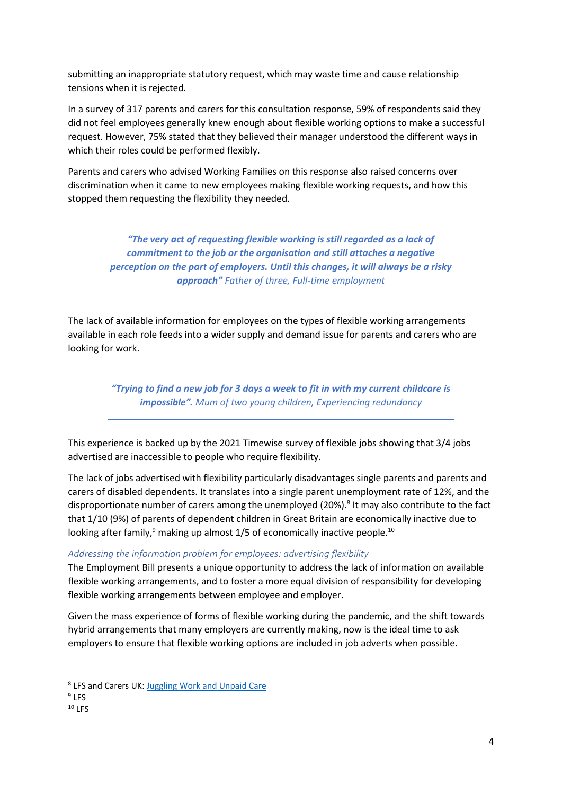submitting an inappropriate statutory request, which may waste time and cause relationship tensions when it is rejected.

In a survey of 317 parents and carers for this consultation response, 59% of respondents said they did not feel employees generally knew enough about flexible working options to make a successful request. However, 75% stated that they believed their manager understood the different ways in which their roles could be performed flexibly.

Parents and carers who advised Working Families on this response also raised concerns over discrimination when it came to new employees making flexible working requests, and how this stopped them requesting the flexibility they needed.

> *"The very act of requesting flexible working is still regarded as a lack of commitment to the job or the organisation and still attaches a negative perception on the part of employers. Until this changes, it will always be a risky approach" Father of three, Full-time employment*

The lack of available information for employees on the types of flexible working arrangements available in each role feeds into a wider supply and demand issue for parents and carers who are looking for work.

> *"Trying to find a new job for 3 days a week to fit in with my current childcare is impossible". Mum of two young children, Experiencing redundancy*

This experience is backed up by the 2021 Timewise survey of flexible jobs showing that 3/4 jobs advertised are inaccessible to people who require flexibility.

The lack of jobs advertised with flexibility particularly disadvantages single parents and parents and carers of disabled dependents. It translates into a single parent unemployment rate of 12%, and the disproportionate number of carers among the unemployed (20%). 8 It may also contribute to the fact that 1/10 (9%) of parents of dependent children in Great Britain are economically inactive due to looking after family,<sup>9</sup> making up almost 1/5 of economically inactive people.<sup>10</sup>

#### *Addressing the information problem for employees: advertising flexibility*

The Employment Bill presents a unique opportunity to address the lack of information on available flexible working arrangements, and to foster a more equal division of responsibility for developing flexible working arrangements between employee and employer.

Given the mass experience of forms of flexible working during the pandemic, and the shift towards hybrid arrangements that many employers are currently making, now is the ideal time to ask employers to ensure that flexible working options are included in job adverts when possible.

<sup>&</sup>lt;sup>8</sup> LFS and Carers UK[: Juggling Work and Unpaid Care](http://www.carersuk.org/images/News_and_campaigns/Juggling_work_and_unpaid_care_report_final_0119_WEB.pdf)

<sup>&</sup>lt;sup>9</sup> LFS

 $10$  LFS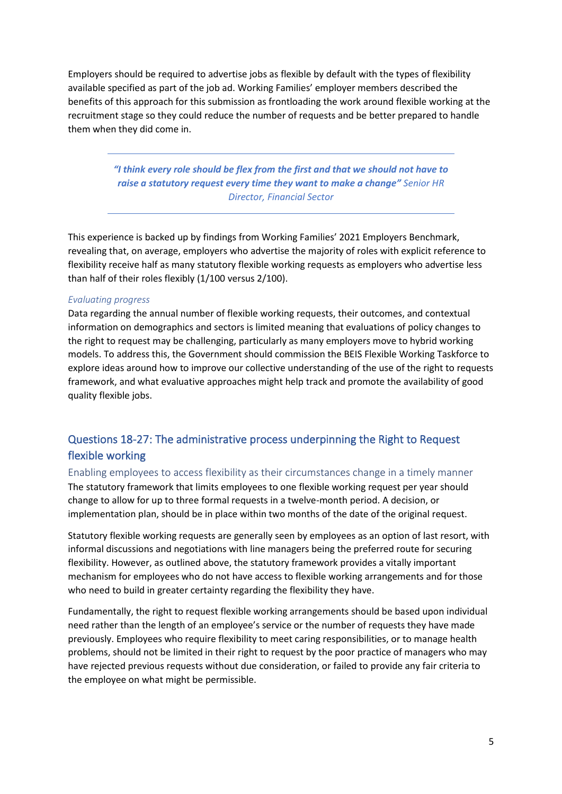Employers should be required to advertise jobs as flexible by default with the types of flexibility available specified as part of the job ad. Working Families' employer members described the benefits of this approach for this submission as frontloading the work around flexible working at the recruitment stage so they could reduce the number of requests and be better prepared to handle them when they did come in.

> *"I think every role should be flex from the first and that we should not have to raise a statutory request every time they want to make a change" Senior HR Director, Financial Sector*

This experience is backed up by findings from Working Families' 2021 Employers Benchmark, revealing that, on average, employers who advertise the majority of roles with explicit reference to flexibility receive half as many statutory flexible working requests as employers who advertise less than half of their roles flexibly (1/100 versus 2/100).

#### *Evaluating progress*

Data regarding the annual number of flexible working requests, their outcomes, and contextual information on demographics and sectors is limited meaning that evaluations of policy changes to the right to request may be challenging, particularly as many employers move to hybrid working models. To address this, the Government should commission the BEIS Flexible Working Taskforce to explore ideas around how to improve our collective understanding of the use of the right to requests framework, and what evaluative approaches might help track and promote the availability of good quality flexible jobs.

### Questions 18-27: The administrative process underpinning the Right to Request flexible working

Enabling employees to access flexibility as their circumstances change in a timely manner The statutory framework that limits employees to one flexible working request per year should change to allow for up to three formal requests in a twelve-month period. A decision, or implementation plan, should be in place within two months of the date of the original request.

Statutory flexible working requests are generally seen by employees as an option of last resort, with informal discussions and negotiations with line managers being the preferred route for securing flexibility. However, as outlined above, the statutory framework provides a vitally important mechanism for employees who do not have access to flexible working arrangements and for those who need to build in greater certainty regarding the flexibility they have.

Fundamentally, the right to request flexible working arrangements should be based upon individual need rather than the length of an employee's service or the number of requests they have made previously. Employees who require flexibility to meet caring responsibilities, or to manage health problems, should not be limited in their right to request by the poor practice of managers who may have rejected previous requests without due consideration, or failed to provide any fair criteria to the employee on what might be permissible.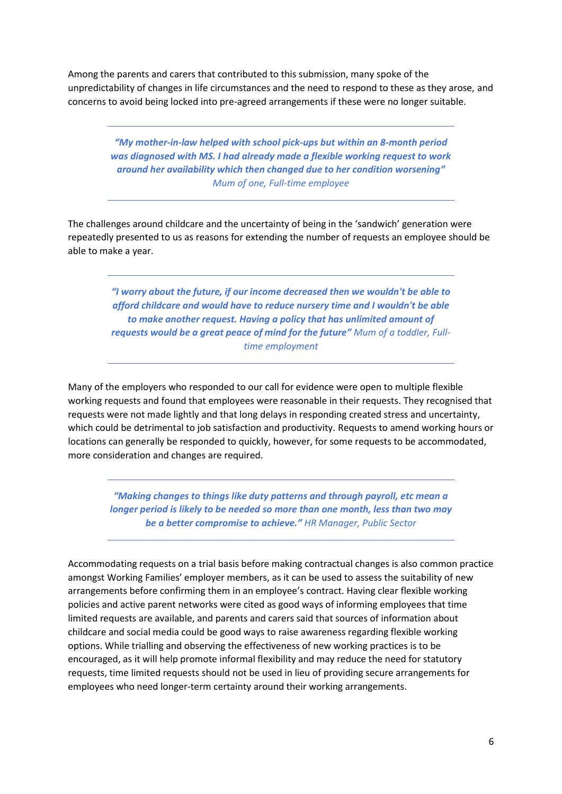Among the parents and carers that contributed to this submission, many spoke of the unpredictability of changes in life circumstances and the need to respond to these as they arose, and concerns to avoid being locked into pre-agreed arrangements if these were no longer suitable.

> *"My mother-in-law helped with school pick-ups but within an 8-month period was diagnosed with MS. I had already made a flexible working request to work around her availability which then changed due to her condition worsening" Mum of one, Full-time employee*

The challenges around childcare and the uncertainty of being in the 'sandwich' generation were repeatedly presented to us as reasons for extending the number of requests an employee should be able to make a year.

> *"I worry about the future, if our income decreased then we wouldn't be able to afford childcare and would have to reduce nursery time and I wouldn't be able to make another request. Having a policy that has unlimited amount of requests would be a great peace of mind for the future" Mum of a toddler, Fulltime employment*

Many of the employers who responded to our call for evidence were open to multiple flexible working requests and found that employees were reasonable in their requests. They recognised that requests were not made lightly and that long delays in responding created stress and uncertainty, which could be detrimental to job satisfaction and productivity. Requests to amend working hours or locations can generally be responded to quickly, however, for some requests to be accommodated, more consideration and changes are required.

*"Making changes to things like duty patterns and through payroll, etc mean a longer period is likely to be needed so more than one month, less than two may be a better compromise to achieve." HR Manager, Public Sector*

Accommodating requests on a trial basis before making contractual changes is also common practice amongst Working Families' employer members, as it can be used to assess the suitability of new arrangements before confirming them in an employee's contract. Having clear flexible working policies and active parent networks were cited as good ways of informing employees that time limited requests are available, and parents and carers said that sources of information about childcare and social media could be good ways to raise awareness regarding flexible working options. While trialling and observing the effectiveness of new working practices is to be encouraged, as it will help promote informal flexibility and may reduce the need for statutory requests, time limited requests should not be used in lieu of providing secure arrangements for employees who need longer-term certainty around their working arrangements.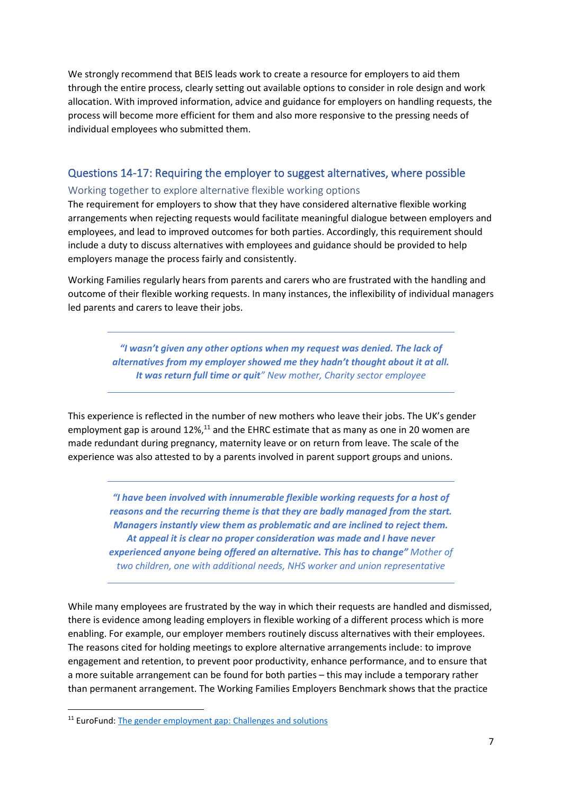We strongly recommend that BEIS leads work to create a resource for employers to aid them through the entire process, clearly setting out available options to consider in role design and work allocation. With improved information, advice and guidance for employers on handling requests, the process will become more efficient for them and also more responsive to the pressing needs of individual employees who submitted them.

#### Questions 14-17: Requiring the employer to suggest alternatives, where possible

#### Working together to explore alternative flexible working options

The requirement for employers to show that they have considered alternative flexible working arrangements when rejecting requests would facilitate meaningful dialogue between employers and employees, and lead to improved outcomes for both parties. Accordingly, this requirement should include a duty to discuss alternatives with employees and guidance should be provided to help employers manage the process fairly and consistently.

Working Families regularly hears from parents and carers who are frustrated with the handling and outcome of their flexible working requests. In many instances, the inflexibility of individual managers led parents and carers to leave their jobs.

> *"I wasn't given any other options when my request was denied. The lack of alternatives from my employer showed me they hadn't thought about it at all. It was return full time or quit" New mother, Charity sector employee*

This experience is reflected in the number of new mothers who leave their jobs. The UK's gender employment gap is around  $12\%$ ,<sup>11</sup> and the EHRC estimate that as many as one in 20 women are made redundant during pregnancy, maternity leave or on return from leave. The scale of the experience was also attested to by a parents involved in parent support groups and unions.

*"I have been involved with innumerable flexible working requests for a host of reasons and the recurring theme is that they are badly managed from the start. Managers instantly view them as problematic and are inclined to reject them. At appeal it is clear no proper consideration was made and I have never experienced anyone being offered an alternative. This has to change" Mother of two children, one with additional needs, NHS worker and union representative*

While many employees are frustrated by the way in which their requests are handled and dismissed, there is evidence among leading employers in flexible working of a different process which is more enabling. For example, our employer members routinely discuss alternatives with their employees. The reasons cited for holding meetings to explore alternative arrangements include: to improve engagement and retention, to prevent poor productivity, enhance performance, and to ensure that a more suitable arrangement can be found for both parties – this may include a temporary rather than permanent arrangement. The Working Families Employers Benchmark shows that the practice

<sup>&</sup>lt;sup>11</sup> EuroFund: [The gender employment gap:](https://www.eurofound.europa.eu/sites/default/files/ef_publication/field_ef_document/ef1638en_1.pdf) Challenges and solutions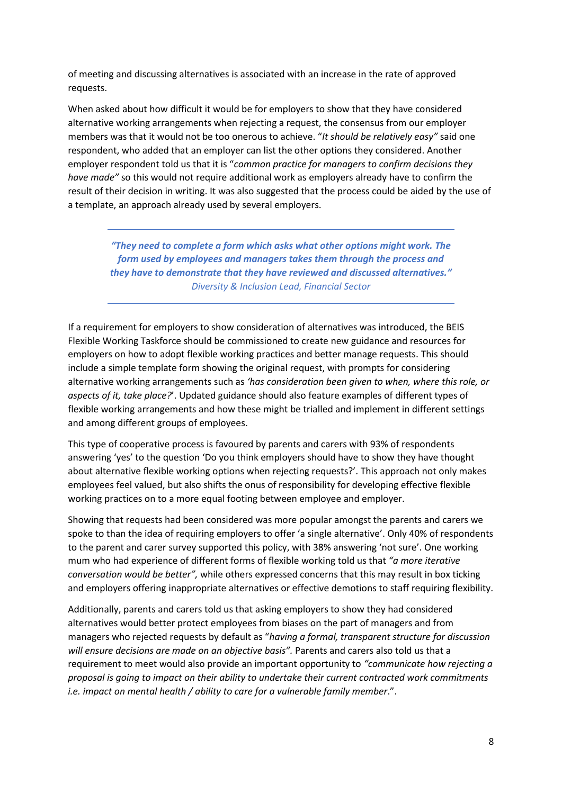of meeting and discussing alternatives is associated with an increase in the rate of approved requests.

When asked about how difficult it would be for employers to show that they have considered alternative working arrangements when rejecting a request, the consensus from our employer members was that it would not be too onerous to achieve. "*It should be relatively easy"* said one respondent, who added that an employer can list the other options they considered. Another employer respondent told us that it is "*common practice for managers to confirm decisions they have made"* so this would not require additional work as employers already have to confirm the result of their decision in writing. It was also suggested that the process could be aided by the use of a template, an approach already used by several employers.

*"They need to complete a form which asks what other options might work. The form used by employees and managers takes them through the process and they have to demonstrate that they have reviewed and discussed alternatives." Diversity & Inclusion Lead, Financial Sector*

If a requirement for employers to show consideration of alternatives was introduced, the BEIS Flexible Working Taskforce should be commissioned to create new guidance and resources for employers on how to adopt flexible working practices and better manage requests. This should include a simple template form showing the original request, with prompts for considering alternative working arrangements such as *'has consideration been given to when, where this role, or aspects of it, take place?*'. Updated guidance should also feature examples of different types of flexible working arrangements and how these might be trialled and implement in different settings and among different groups of employees.

This type of cooperative process is favoured by parents and carers with 93% of respondents answering 'yes' to the question 'Do you think employers should have to show they have thought about alternative flexible working options when rejecting requests?'. This approach not only makes employees feel valued, but also shifts the onus of responsibility for developing effective flexible working practices on to a more equal footing between employee and employer.

Showing that requests had been considered was more popular amongst the parents and carers we spoke to than the idea of requiring employers to offer 'a single alternative'. Only 40% of respondents to the parent and carer survey supported this policy, with 38% answering 'not sure'. One working mum who had experience of different forms of flexible working told us that *"a more iterative conversation would be better",* while others expressed concerns that this may result in box ticking and employers offering inappropriate alternatives or effective demotions to staff requiring flexibility.

Additionally, parents and carers told us that asking employers to show they had considered alternatives would better protect employees from biases on the part of managers and from managers who rejected requests by default as "*having a formal, transparent structure for discussion will ensure decisions are made on an objective basis".* Parents and carers also told us that a requirement to meet would also provide an important opportunity to *"communicate how rejecting a proposal is going to impact on their ability to undertake their current contracted work commitments i.e. impact on mental health / ability to care for a vulnerable family member*.".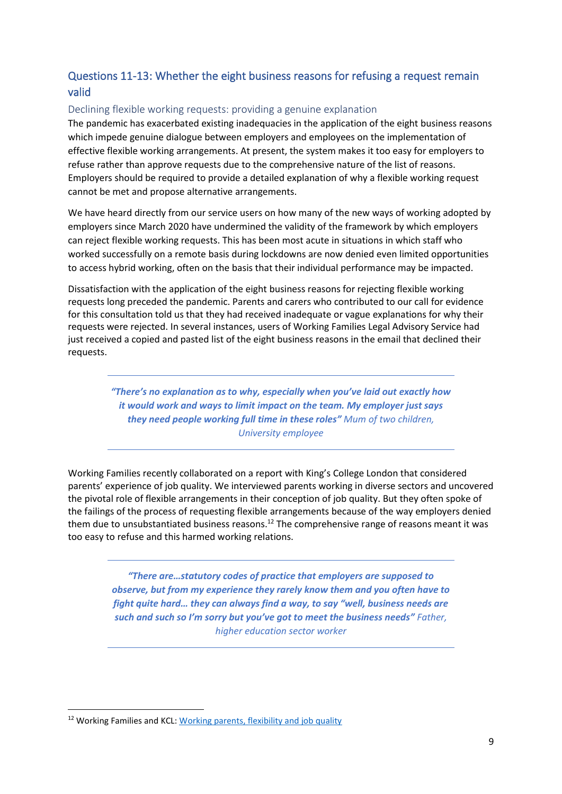## Questions 11-13: Whether the eight business reasons for refusing a request remain valid

#### Declining flexible working requests: providing a genuine explanation

The pandemic has exacerbated existing inadequacies in the application of the eight business reasons which impede genuine dialogue between employers and employees on the implementation of effective flexible working arrangements. At present, the system makes it too easy for employers to refuse rather than approve requests due to the comprehensive nature of the list of reasons. Employers should be required to provide a detailed explanation of why a flexible working request cannot be met and propose alternative arrangements.

We have heard directly from our service users on how many of the new ways of working adopted by employers since March 2020 have undermined the validity of the framework by which employers can reject flexible working requests. This has been most acute in situations in which staff who worked successfully on a remote basis during lockdowns are now denied even limited opportunities to access hybrid working, often on the basis that their individual performance may be impacted.

Dissatisfaction with the application of the eight business reasons for rejecting flexible working requests long preceded the pandemic. Parents and carers who contributed to our call for evidence for this consultation told us that they had received inadequate or vague explanations for why their requests were rejected. In several instances, users of Working Families Legal Advisory Service had just received a copied and pasted list of the eight business reasons in the email that declined their requests.

> *"There's no explanation as to why, especially when you've laid out exactly how it would work and ways to limit impact on the team. My employer just says they need people working full time in these roles" Mum of two children, University employee*

Working Families recently collaborated on a report with King's College London that considered parents' experience of job quality. We interviewed parents working in diverse sectors and uncovered the pivotal role of flexible arrangements in their conception of job quality. But they often spoke of the failings of the process of requesting flexible arrangements because of the way employers denied them due to unsubstantiated business reasons.<sup>12</sup> The comprehensive range of reasons meant it was too easy to refuse and this harmed working relations.

> *"There are…statutory codes of practice that employers are supposed to observe, but from my experience they rarely know them and you often have to fight quite hard… they can always find a way, to say "well, business needs are such and such so I'm sorry but you've got to meet the business needs" Father, higher education sector worker*

<sup>&</sup>lt;sup>12</sup> Working Families and KCL: [Working parents, flexibility and job quality](https://workingfamilies.org.uk/publications/working-parents-flexibility-and-job-quality-what-are-the-trade-offs/)